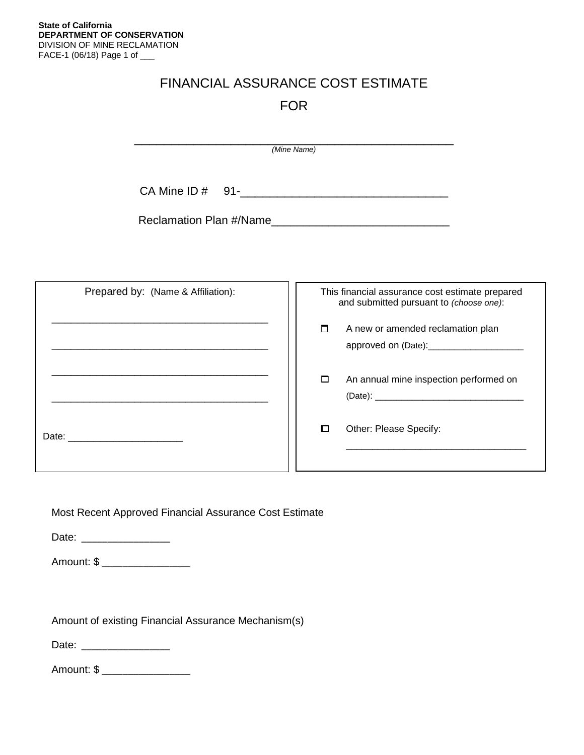## FINANCIAL ASSURANCE COST ESTIMATE FOR

|                         | (Mine Name) |  |
|-------------------------|-------------|--|
| CA Mine ID $#$ 91-      |             |  |
| Reclamation Plan #/Name |             |  |
|                         |             |  |

| Prepared by: (Name & Affiliation): | This financial assurance cost estimate prepared<br>and submitted pursuant to (choose one):  |  |  |
|------------------------------------|---------------------------------------------------------------------------------------------|--|--|
|                                    | $\Box$<br>A new or amended reclamation plan<br>approved on (Date): 2000 approved on (Date): |  |  |
|                                    | □<br>An annual mine inspection performed on                                                 |  |  |
|                                    | Other: Please Specify:<br>□                                                                 |  |  |

Most Recent Approved Financial Assurance Cost Estimate

Date: \_\_\_\_\_\_\_\_\_\_\_\_\_\_\_\_\_\_

Amount: \$ \_\_\_\_\_\_\_\_\_\_\_\_\_\_\_\_\_

Amount of existing Financial Assurance Mechanism(s)

Date: \_\_\_\_\_\_\_\_\_\_\_\_\_\_\_\_\_

Amount: \$ \_\_\_\_\_\_\_\_\_\_\_\_\_\_\_\_\_\_\_\_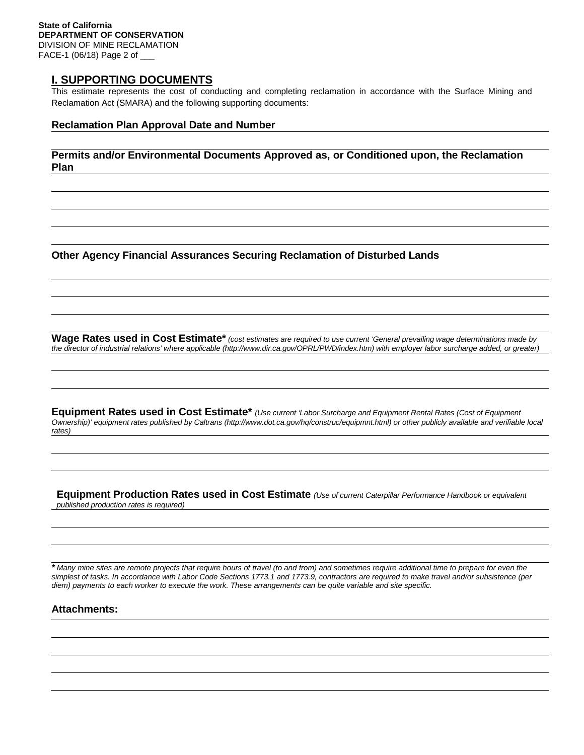## **I. SUPPORTING DOCUMENTS**

This estimate represents the cost of conducting and completing reclamation in accordance with the Surface Mining and Reclamation Act (SMARA) and the following supporting documents:

#### **Reclamation Plan Approval Date and Number**

**Permits and/or Environmental Documents Approved as, or Conditioned upon, the Reclamation Plan**

**Other Agency Financial Assurances Securing Reclamation of Disturbed Lands**

**Wage Rates used in Cost Estimate\*** *(cost estimates are required to use current 'General prevailing wage determinations made by the director of industrial relations' where applicable (http://www.dir.ca.gov/OPRL/PWD/index.htm) with employer labor surcharge added, or greater)*

**Equipment Rates used in Cost Estimate\*** *(Use current 'Labor Surcharge and Equipment Rental Rates (Cost of Equipment Ownership)' equipment rates published by Caltrans (http://www.dot.ca.gov/hq/construc/equipmnt.html) or other publicly available and verifiable local rates)*

**Equipment Production Rates used in Cost Estimate** *(Use of current Caterpillar Performance Handbook or equivalent published production rates is required)*

*\* Many mine sites are remote projects that require hours of travel (to and from) and sometimes require additional time to prepare for even the simplest of tasks. In accordance with Labor Code Sections 1773.1 and 1773.9, contractors are required to make travel and/or subsistence (per diem) payments to each worker to execute the work. These arrangements can be quite variable and site specific.*

### **Attachments:**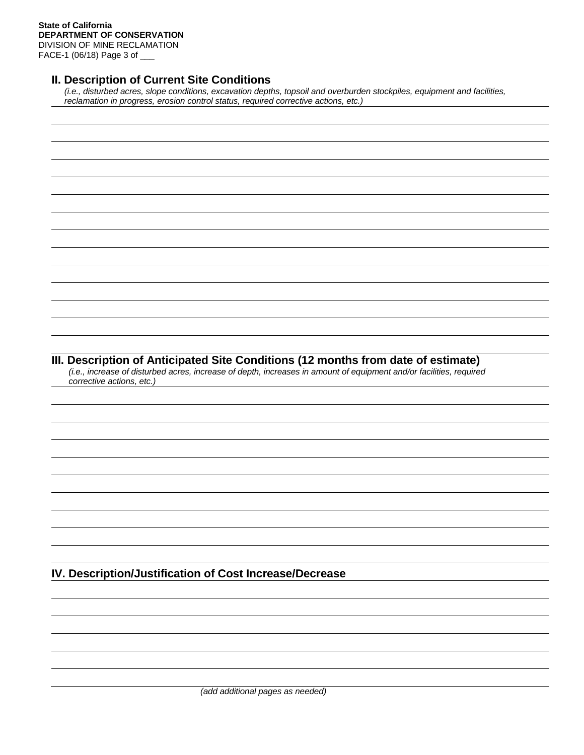DIVISION OF MINE RECLAMATION FACE-1 (06/18) Page 3 of \_\_\_

## **II. Description of Current Site Conditions**

*(i.e., disturbed acres, slope conditions, excavation depths, topsoil and overburden stockpiles, equipment and facilities, reclamation in progress, erosion control status, required corrective actions, etc.)*

## **III. Description of Anticipated Site Conditions (12 months from date of estimate)**

*(i.e., increase of disturbed acres, increase of depth, increases in amount of equipment and/or facilities, required corrective actions, etc.)*

**IV. Description/Justification of Cost Increase/Decrease**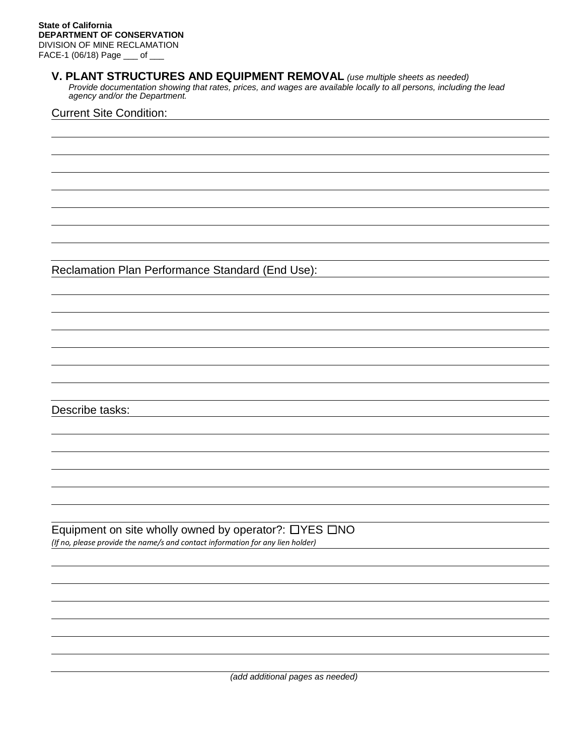### **V. PLANT STRUCTURES AND EQUIPMENT REMOVAL** *(use multiple sheets as needed)*

*Provide documentation showing that rates, prices, and wages are available locally to all persons, including the lead agency and/or the Department.*

#### Current Site Condition:

Reclamation Plan Performance Standard (End Use):

Describe tasks:

Equipment on site wholly owned by operator?: ☐YES ☐NO *(If no, please provide the name/s and contact information for any lien holder)*

*(add additional pages as needed)*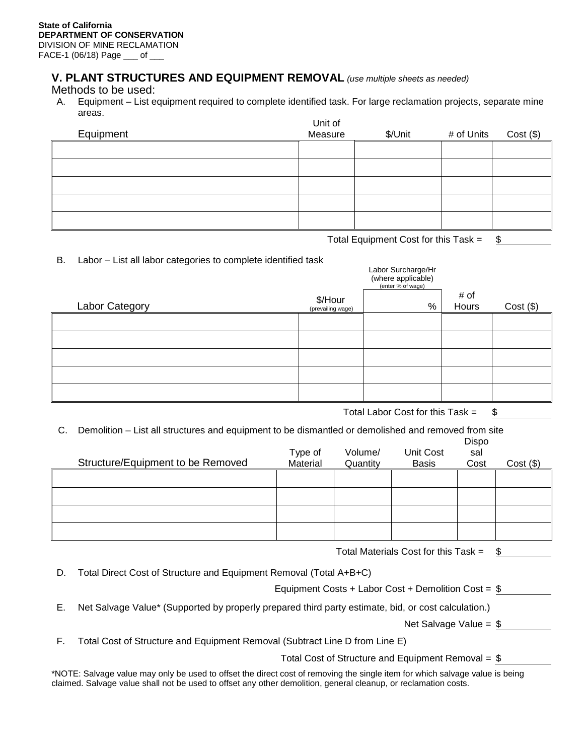FACE-1 (06/18) Page \_\_\_ of \_\_\_

## **V. PLANT STRUCTURES AND EQUIPMENT REMOVAL** *(use multiple sheets as needed)*

Methods to be used:

A. Equipment – List equipment required to complete identified task. For large reclamation projects, separate mine areas. Unit of

| Equipment | Unit of<br>Measure | \$/Unit | # of Units | $Cost($ \$) |
|-----------|--------------------|---------|------------|-------------|
|           |                    |         |            |             |
|           |                    |         |            |             |
|           |                    |         |            |             |
|           |                    |         |            |             |
|           |                    |         |            |             |

Total Equipment Cost for this Task  $=$  \$

Labor Surcharge/Hr

B. Labor – List all labor categories to complete identified task

|                |                              | Labor Surcharge/Hi<br>(where applicable)<br>(enter % of wage) |               |             |
|----------------|------------------------------|---------------------------------------------------------------|---------------|-------------|
| Labor Category | \$/Hour<br>(prevailing wage) | %                                                             | # of<br>Hours | $Cost($ \$) |
|                |                              |                                                               |               |             |
|                |                              |                                                               |               |             |
|                |                              |                                                               |               |             |
|                |                              |                                                               |               |             |
|                |                              |                                                               |               |             |

Total Labor Cost for this Task  $=$  \$

C. Demolition – List all structures and equipment to be dismantled or demolished and removed from site Dieno

| Structure/Equipment to be Removed | Type of<br>Material | Volume/<br>Quantity | Unit Cost<br><b>Basis</b> | <b>DISPU</b><br>sal<br>Cost | $Cost($ \$) |
|-----------------------------------|---------------------|---------------------|---------------------------|-----------------------------|-------------|
|                                   |                     |                     |                           |                             |             |
|                                   |                     |                     |                           |                             |             |
|                                   |                     |                     |                           |                             |             |
|                                   |                     |                     |                           |                             |             |

Total Materials Cost for this Task  $=$  \$

D. Total Direct Cost of Structure and Equipment Removal (Total A+B+C)

Equipment Costs + Labor Cost + Demolition Cost = \$

E. Net Salvage Value\* (Supported by properly prepared third party estimate, bid, or cost calculation.)

Net Salvage Value = \$

F. Total Cost of Structure and Equipment Removal (Subtract Line D from Line E)

Total Cost of Structure and Equipment Removal =  $$$ 

\*NOTE: Salvage value may only be used to offset the direct cost of removing the single item for which salvage value is being claimed. Salvage value shall not be used to offset any other demolition, general cleanup, or reclamation costs.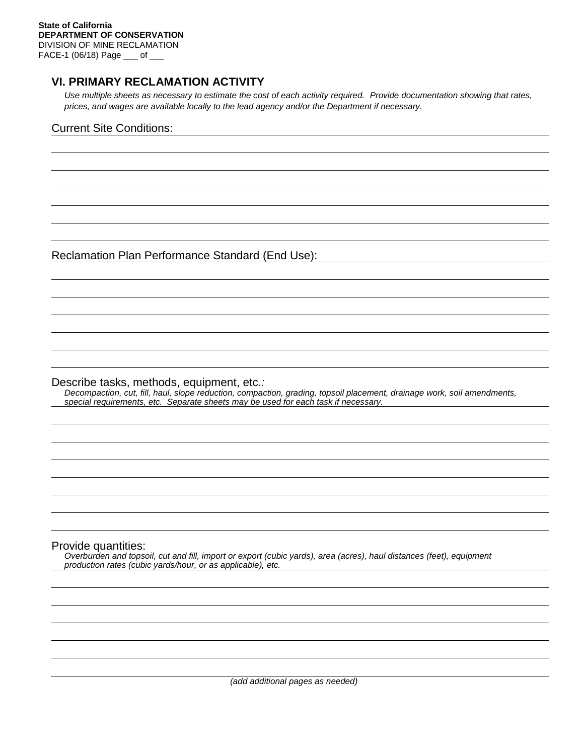## **VI. PRIMARY RECLAMATION ACTIVITY**

*Use multiple sheets as necessary to estimate the cost of each activity required. Provide documentation showing that rates, prices, and wages are available locally to the lead agency and/or the Department if necessary.*

### Current Site Conditions:

Reclamation Plan Performance Standard (End Use):

Describe tasks, methods, equipment, etc.*:*

*Decompaction, cut, fill, haul, slope reduction, compaction, grading, topsoil placement, drainage work, soil amendments, special requirements, etc. Separate sheets may be used for each task if necessary.*

#### Provide quantities:

*Overburden and topsoil, cut and fill, import or export (cubic yards), area (acres), haul distances (feet), equipment production rates (cubic yards/hour, or as applicable), etc.*

*(add additional pages as needed)*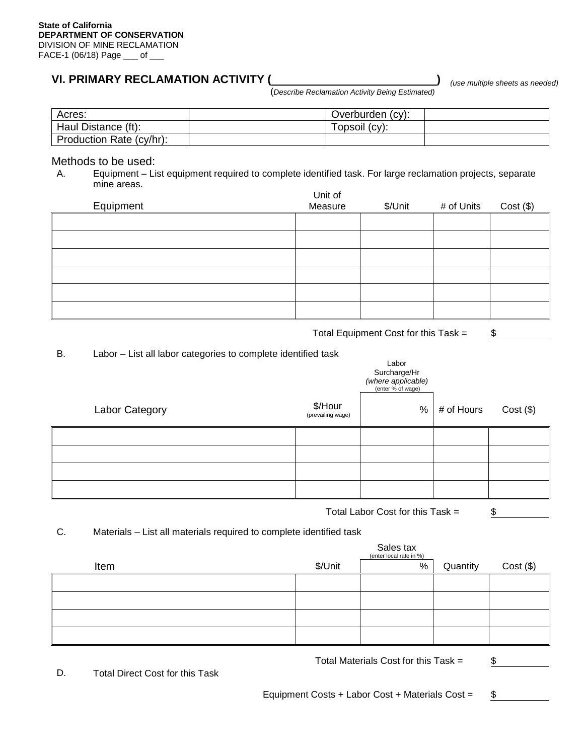## **VI. PRIMARY RECLAMATION ACTIVITY (**

*(use multiple sheets as needed)*

(*Describe Reclamation Activity Being Estimated)*

| Acres:                   | Overburden (cy): |  |
|--------------------------|------------------|--|
| Haul Distance (ft):      | Topsoil (cy):    |  |
| Production Rate (cy/hr): |                  |  |

# Methods to be used:<br>A. Equipment – Li

A. Equipment – List equipment required to complete identified task. For large reclamation projects, separate mine areas.

| Equipment | Unit of<br>Measure | \$/Unit | # of Units | $Cost($ \$) |
|-----------|--------------------|---------|------------|-------------|
|           |                    |         |            |             |
|           |                    |         |            |             |
|           |                    |         |            |             |
|           |                    |         |            |             |
|           |                    |         |            |             |
|           |                    |         |            |             |

Total Equipment Cost for this Task  $=$   $$$ 

B. Labor – List all labor categories to complete identified task

| ັ<br>. .       |                              | Labor<br>Surcharge/Hr<br>(where applicable)<br>(enter % of wage) |            |             |
|----------------|------------------------------|------------------------------------------------------------------|------------|-------------|
| Labor Category | \$/Hour<br>(prevailing wage) | %                                                                | # of Hours | $Cost($ \$) |
|                |                              |                                                                  |            |             |
|                |                              |                                                                  |            |             |
|                |                              |                                                                  |            |             |
|                |                              |                                                                  |            |             |

Total Labor Cost for this Task =  $$$ 

## C. Materials – List all materials required to complete identified task

|      |         | Sales tax<br>(enter local rate in %) |          |             |
|------|---------|--------------------------------------|----------|-------------|
| Item | \$/Unit | %                                    | Quantity | $Cost($ \$) |
|      |         |                                      |          |             |
|      |         |                                      |          |             |
|      |         |                                      |          |             |
|      |         |                                      |          |             |

Total Materials Cost for this Task  $=$   $$$ 

D. Total Direct Cost for this Task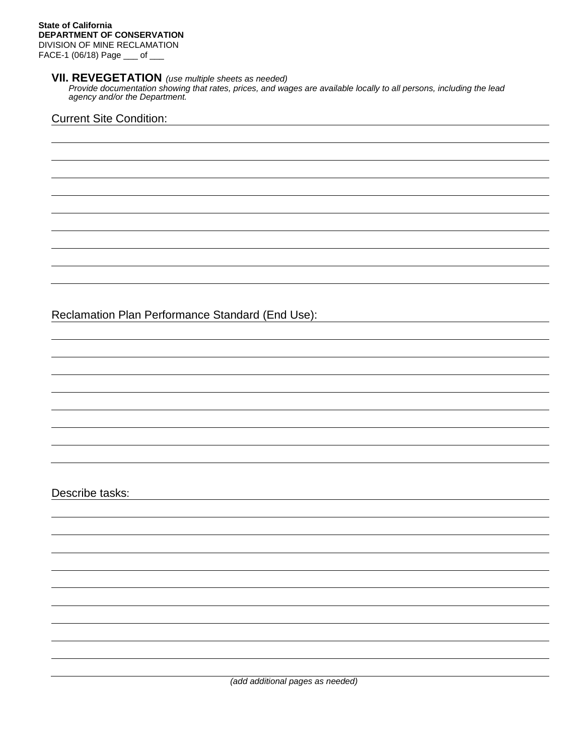## **VII. REVEGETATION** *(use multiple sheets as needed)*

*Provide documentation showing that rates, prices, and wages are available locally to all persons, including the lead agency and/or the Department.*

## Current Site Condition:

Reclamation Plan Performance Standard (End Use):

Describe tasks:

*(add additional pages as needed)*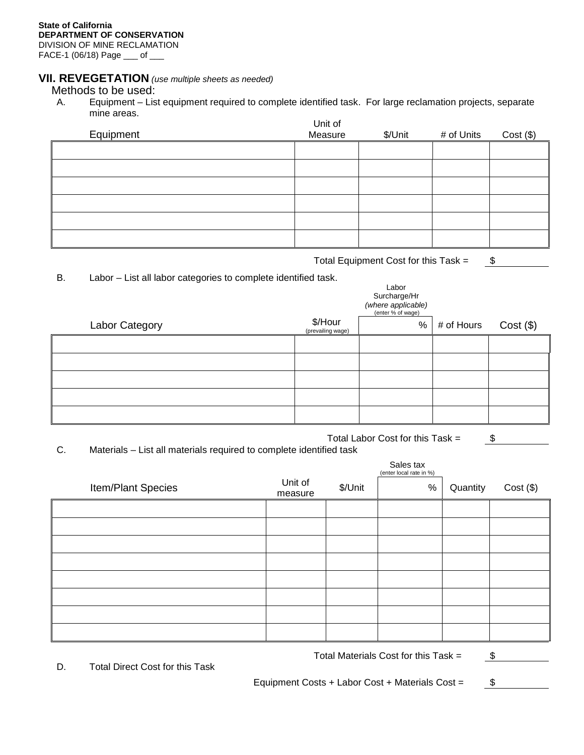## **VII. REVEGETATION** *(use multiple sheets as needed)*

## Methods to be used:<br>A. Equipment – Lis

A. Equipment – List equipment required to complete identified task. For large reclamation projects, separate mine areas. Unit of

| Equipment | UNII OI<br>Measure | \$/Unit | # of Units | $Cost($ \$) |
|-----------|--------------------|---------|------------|-------------|
|           |                    |         |            |             |
|           |                    |         |            |             |
|           |                    |         |            |             |
|           |                    |         |            |             |
|           |                    |         |            |             |
|           |                    |         |            |             |

Total Equipment Cost for this Task =  $$$ 

Labor

B. Labor – List all labor categories to complete identified task.

|                |                              | Lavu<br>Surcharge/Hr<br>(where applicable)<br>(enter % of wage) |                |             |
|----------------|------------------------------|-----------------------------------------------------------------|----------------|-------------|
| Labor Category | \$/Hour<br>(prevailing wage) |                                                                 | $%$ # of Hours | $Cost($ \$) |
|                |                              |                                                                 |                |             |
|                |                              |                                                                 |                |             |
|                |                              |                                                                 |                |             |
|                |                              |                                                                 |                |             |
|                |                              |                                                                 |                |             |

Total Labor Cost for this Task =  $\frac{\$}{\$}$ 

C. Materials – List all materials required to complete identified task

|                    |                    |         | Sales tax<br>(enter local rate in %) |          |             |
|--------------------|--------------------|---------|--------------------------------------|----------|-------------|
| Item/Plant Species | Unit of<br>measure | \$/Unit | $\%$                                 | Quantity | $Cost($ \$) |
|                    |                    |         |                                      |          |             |
|                    |                    |         |                                      |          |             |
|                    |                    |         |                                      |          |             |
|                    |                    |         |                                      |          |             |
|                    |                    |         |                                      |          |             |
|                    |                    |         |                                      |          |             |
|                    |                    |         |                                      |          |             |
|                    |                    |         |                                      |          |             |

Total Materials Cost for this Task  $=$   $$$ 

D. Total Direct Cost for this Task

Equipment Costs + Labor Cost + Materials Cost =  $$$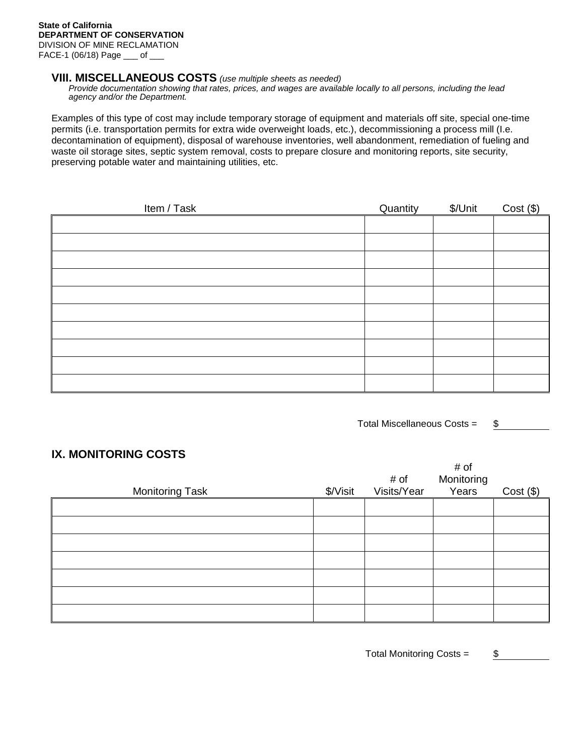#### **VIII. MISCELLANEOUS COSTS** *(use multiple sheets as needed)*

*Provide documentation showing that rates, prices, and wages are available locally to all persons, including the lead agency and/or the Department.*

Examples of this type of cost may include temporary storage of equipment and materials off site, special one-time permits (i.e. transportation permits for extra wide overweight loads, etc.), decommissioning a process mill (I.e. decontamination of equipment), disposal of warehouse inventories, well abandonment, remediation of fueling and waste oil storage sites, septic system removal, costs to prepare closure and monitoring reports, site security, preserving potable water and maintaining utilities, etc.

| Item / Task | Quantity | \$/Unit | $Cost($ \$) |
|-------------|----------|---------|-------------|
|             |          |         |             |
|             |          |         |             |
|             |          |         |             |
|             |          |         |             |
|             |          |         |             |
|             |          |         |             |
|             |          |         |             |
|             |          |         |             |
|             |          |         |             |
|             |          |         |             |

Total Miscellaneous Costs =  $$$ 

 $\mu \sim t$ 

## **IX. MONITORING COSTS**

| <b>Monitoring Task</b> | \$/Visit | # of<br>Visits/Year | # OI<br>Monitoring<br>Years | Cost( \$ ) |
|------------------------|----------|---------------------|-----------------------------|------------|
|                        |          |                     |                             |            |
|                        |          |                     |                             |            |
|                        |          |                     |                             |            |
|                        |          |                     |                             |            |
|                        |          |                     |                             |            |
|                        |          |                     |                             |            |
|                        |          |                     |                             |            |

Total Monitoring Costs =  $$$